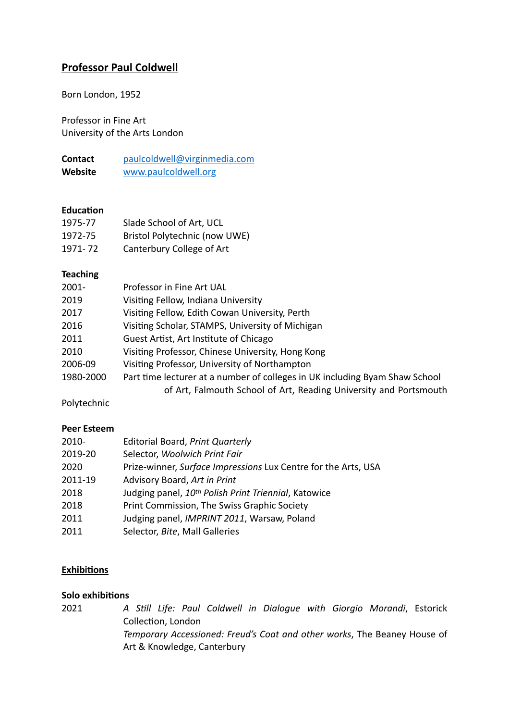# **Professor Paul Coldwell**

Born London, 1952

Professor in Fine Art University of the Arts London

**Contact** [paulcoldwell@virginmedia.com](mailto:paulcoldwell@virginmedia.com) **Website** [www.paulcoldwell.org](http://www.paulcoldwell.org)

#### **Education**

| 1975-77 | Slade School of Art, UCL      |
|---------|-------------------------------|
| 1972-75 | Bristol Polytechnic (now UWE) |
| 1971-72 | Canterbury College of Art     |

#### **Teaching**

| Professor in Fine Art UAL                                                   |
|-----------------------------------------------------------------------------|
| Visiting Fellow, Indiana University                                         |
| Visiting Fellow, Edith Cowan University, Perth                              |
| Visiting Scholar, STAMPS, University of Michigan                            |
| Guest Artist, Art Institute of Chicago                                      |
| Visiting Professor, Chinese University, Hong Kong                           |
| Visiting Professor, University of Northampton                               |
| Part time lecturer at a number of colleges in UK including Byam Shaw School |
| of Art, Falmouth School of Art, Reading University and Portsmouth           |
|                                                                             |

Polytechnic

#### **Peer Esteem**

| 2010-   | Editorial Board, Print Quarterly                                 |
|---------|------------------------------------------------------------------|
| 2019-20 | Selector, Woolwich Print Fair                                    |
| 2020    | Prize-winner, Surface Impressions Lux Centre for the Arts, USA   |
| 2011-19 | Advisory Board, Art in Print                                     |
| 2018    | Judging panel, 10 <sup>th</sup> Polish Print Triennial, Katowice |
| 2018    | Print Commission, The Swiss Graphic Society                      |
| 2011    | Judging panel, IMPRINT 2011, Warsaw, Poland                      |
| 2011    | Selector, Bite, Mall Galleries                                   |

## **Exhibitions**

#### **Solo exhibitions**

2021 *A Still Life: Paul Coldwell in Dialogue with Giorgio Morandi*, Estorick Collection, London *Temporary Accessioned: Freud's Coat and other works*, The Beaney House of Art & Knowledge, Canterbury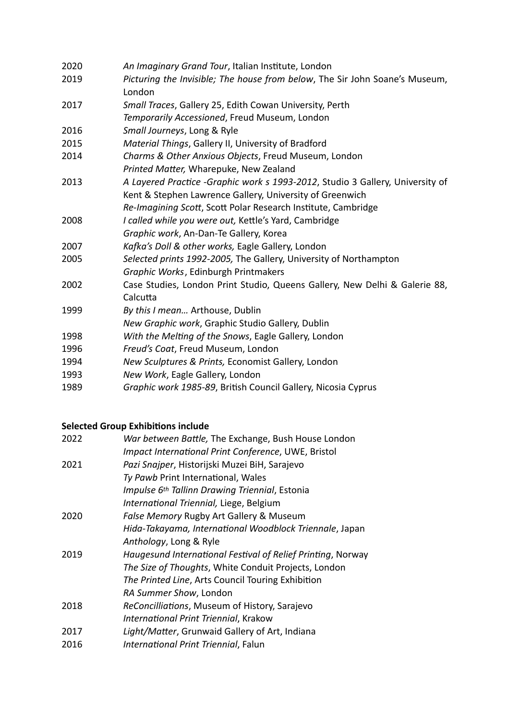| 2020 | An Imaginary Grand Tour, Italian Institute, London                                    |
|------|---------------------------------------------------------------------------------------|
| 2019 | Picturing the Invisible; The house from below, The Sir John Soane's Museum,<br>London |
| 2017 | Small Traces, Gallery 25, Edith Cowan University, Perth                               |
|      | Temporarily Accessioned, Freud Museum, London                                         |
| 2016 | Small Journeys, Long & Ryle                                                           |
| 2015 | Material Things, Gallery II, University of Bradford                                   |
| 2014 | Charms & Other Anxious Objects, Freud Museum, London                                  |
|      | Printed Matter, Wharepuke, New Zealand                                                |
| 2013 | A Layered Practice -Graphic work s 1993-2012, Studio 3 Gallery, University of         |
|      | Kent & Stephen Lawrence Gallery, University of Greenwich                              |
|      | Re-Imagining Scott, Scott Polar Research Institute, Cambridge                         |
| 2008 | I called while you were out, Kettle's Yard, Cambridge                                 |
|      | Graphic work, An-Dan-Te Gallery, Korea                                                |
| 2007 | Kafka's Doll & other works, Eagle Gallery, London                                     |
| 2005 | Selected prints 1992-2005, The Gallery, University of Northampton                     |
|      | Graphic Works, Edinburgh Printmakers                                                  |
| 2002 | Case Studies, London Print Studio, Queens Gallery, New Delhi & Galerie 88,            |
|      | Calcutta                                                                              |
| 1999 | By this I mean Arthouse, Dublin                                                       |
|      | New Graphic work, Graphic Studio Gallery, Dublin                                      |
| 1998 | With the Melting of the Snows, Eagle Gallery, London                                  |
| 1996 | Freud's Coat, Freud Museum, London                                                    |
| 1994 | New Sculptures & Prints, Economist Gallery, London                                    |
| 1993 | New Work, Eagle Gallery, London                                                       |
| 1989 | Graphic work 1985-89, British Council Gallery, Nicosia Cyprus                         |

## **Selected Group Exhibitions include**

| 2022 | War between Battle, The Exchange, Bush House London         |
|------|-------------------------------------------------------------|
|      | Impact International Print Conference, UWE, Bristol         |
| 2021 | Pazi Snajper, Historijski Muzei BiH, Sarajevo               |
|      | Ty Pawb Print International, Wales                          |
|      | Impulse 6 <sup>th</sup> Tallinn Drawing Triennial, Estonia  |
|      | International Triennial, Liege, Belgium                     |
| 2020 | False Memory Rugby Art Gallery & Museum                     |
|      | Hida-Takayama, International Woodblock Triennale, Japan     |
|      | Anthology, Long & Ryle                                      |
| 2019 | Haugesund International Festival of Relief Printing, Norway |
|      | The Size of Thoughts, White Conduit Projects, London        |
|      | The Printed Line, Arts Council Touring Exhibition           |
|      | RA Summer Show, London                                      |
| 2018 | ReConcilliations, Museum of History, Sarajevo               |
|      | International Print Triennial, Krakow                       |
| 2017 | Light/Matter, Grunwaid Gallery of Art, Indiana              |
| 2016 | International Print Triennial, Falun                        |
|      |                                                             |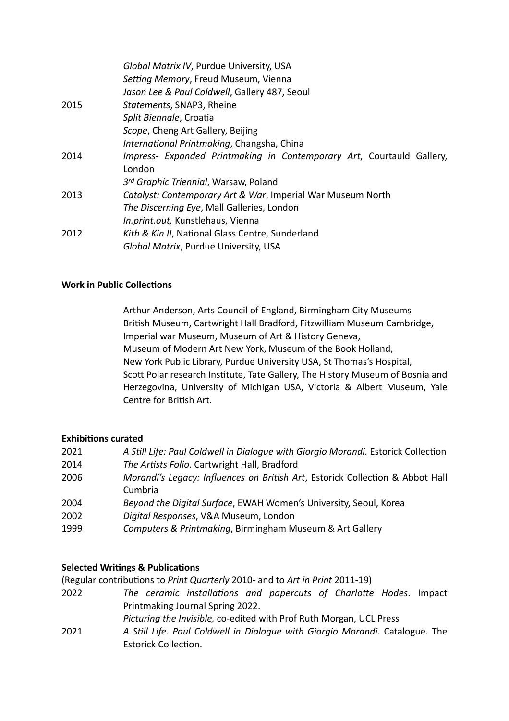|      | Global Matrix IV, Purdue University, USA                              |
|------|-----------------------------------------------------------------------|
|      | Setting Memory, Freud Museum, Vienna                                  |
|      | Jason Lee & Paul Coldwell, Gallery 487, Seoul                         |
| 2015 | Statements, SNAP3, Rheine                                             |
|      | Split Biennale, Croatia                                               |
|      | Scope, Cheng Art Gallery, Beijing                                     |
|      | International Printmaking, Changsha, China                            |
| 2014 | Impress- Expanded Printmaking in Contemporary Art, Courtauld Gallery, |
|      | London                                                                |
|      | 3rd Graphic Triennial, Warsaw, Poland                                 |
| 2013 | Catalyst: Contemporary Art & War, Imperial War Museum North           |
|      | The Discerning Eye, Mall Galleries, London                            |
|      | In.print.out, Kunstlehaus, Vienna                                     |
| 2012 | Kith & Kin II, National Glass Centre, Sunderland                      |
|      | Global Matrix, Purdue University, USA                                 |

#### **Work in Public Collections**

Arthur Anderson, Arts Council of England, Birmingham City Museums British Museum, Cartwright Hall Bradford, Fitzwilliam Museum Cambridge, Imperial war Museum, Museum of Art & History Geneva, Museum of Modern Art New York, Museum of the Book Holland, New York Public Library, Purdue University USA, St Thomas's Hospital, Scott Polar research Institute, Tate Gallery, The History Museum of Bosnia and Herzegovina, University of Michigan USA, Victoria & Albert Museum, Yale Centre for British Art.

## **Exhibitions curated**

| 2021 | A Still Life: Paul Coldwell in Dialogue with Giorgio Morandi. Estorick Collection |
|------|-----------------------------------------------------------------------------------|
| 2014 | The Artists Folio. Cartwright Hall, Bradford                                      |
| 2006 | Morandi's Legacy: Influences on British Art, Estorick Collection & Abbot Hall     |
|      | Cumbria                                                                           |
| 2004 | Beyond the Digital Surface, EWAH Women's University, Seoul, Korea                 |
| 2002 | Digital Responses, V&A Museum, London                                             |
| 1999 | Computers & Printmaking, Birmingham Museum & Art Gallery                          |

## **Selected Writings & Publications**

(Regular contributions to *Print Quarterly* 2010- and to *Art in Print* 2011-19)

2022 *The ceramic installations and papercuts of Charlotte Hodes*. Impact Printmaking Journal Spring 2022.

*Picturing the Invisible,* co-edited with Prof Ruth Morgan, UCL Press

2021 *A Still Life. Paul Coldwell in Dialogue with Giorgio Morandi.* Catalogue. The Estorick Collection.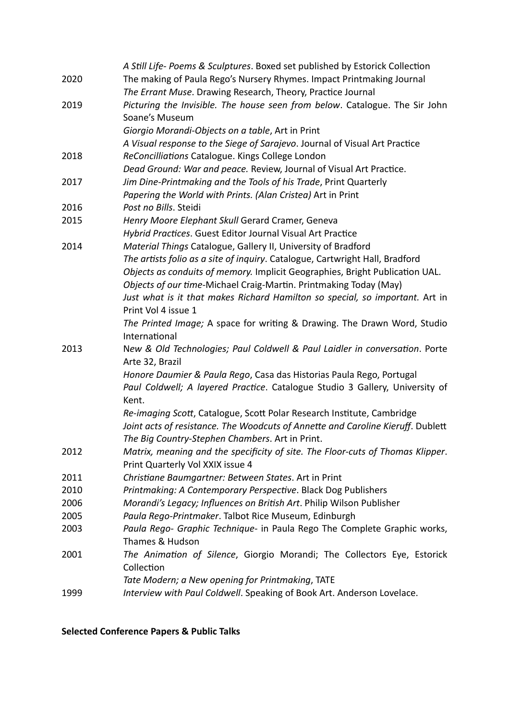|      | A Still Life- Poems & Sculptures. Boxed set published by Estorick Collection    |
|------|---------------------------------------------------------------------------------|
| 2020 | The making of Paula Rego's Nursery Rhymes. Impact Printmaking Journal           |
|      | The Errant Muse. Drawing Research, Theory, Practice Journal                     |
| 2019 | Picturing the Invisible. The house seen from below. Catalogue. The Sir John     |
|      | Soane's Museum                                                                  |
|      | Giorgio Morandi-Objects on a table, Art in Print                                |
|      | A Visual response to the Siege of Sarajevo. Journal of Visual Art Practice      |
| 2018 | ReConcilliations Catalogue. Kings College London                                |
|      | Dead Ground: War and peace. Review, Journal of Visual Art Practice.             |
| 2017 | Jim Dine-Printmaking and the Tools of his Trade, Print Quarterly                |
|      | Papering the World with Prints. (Alan Cristea) Art in Print                     |
| 2016 | Post no Bills. Steidi                                                           |
| 2015 | Henry Moore Elephant Skull Gerard Cramer, Geneva                                |
|      | Hybrid Practices. Guest Editor Journal Visual Art Practice                      |
| 2014 | Material Things Catalogue, Gallery II, University of Bradford                   |
|      | The artists folio as a site of inquiry. Catalogue, Cartwright Hall, Bradford    |
|      | Objects as conduits of memory. Implicit Geographies, Bright Publication UAL.    |
|      | Objects of our time-Michael Craig-Martin. Printmaking Today (May)               |
|      | Just what is it that makes Richard Hamilton so special, so important. Art in    |
|      | Print Vol 4 issue 1                                                             |
|      | The Printed Image; A space for writing & Drawing. The Drawn Word, Studio        |
|      | International                                                                   |
| 2013 | New & Old Technologies; Paul Coldwell & Paul Laidler in conversation. Porte     |
|      | Arte 32, Brazil                                                                 |
|      | Honore Daumier & Paula Rego, Casa das Historias Paula Rego, Portugal            |
|      | Paul Coldwell; A layered Practice. Catalogue Studio 3 Gallery, University of    |
|      | Kent.                                                                           |
|      | Re-imaging Scott, Catalogue, Scott Polar Research Institute, Cambridge          |
|      | Joint acts of resistance. The Woodcuts of Annette and Caroline Kieruff. Dublett |
|      | The Big Country-Stephen Chambers. Art in Print.                                 |
| 2012 | Matrix, meaning and the specificity of site. The Floor-cuts of Thomas Klipper.  |
|      | Print Quarterly Vol XXIX issue 4                                                |
| 2011 | Christiane Baumgartner: Between States. Art in Print                            |
| 2010 | Printmaking: A Contemporary Perspective. Black Dog Publishers                   |
| 2006 | Morandi's Legacy; Influences on British Art. Philip Wilson Publisher            |
| 2005 | Paula Rego-Printmaker. Talbot Rice Museum, Edinburgh                            |
| 2003 | Paula Rego- Graphic Technique- in Paula Rego The Complete Graphic works,        |
|      | Thames & Hudson                                                                 |
| 2001 | The Animation of Silence, Giorgio Morandi; The Collectors Eye, Estorick         |
|      | Collection                                                                      |
|      | Tate Modern; a New opening for Printmaking, TATE                                |
| 1999 | Interview with Paul Coldwell. Speaking of Book Art. Anderson Lovelace.          |

**Selected Conference Papers & Public Talks**